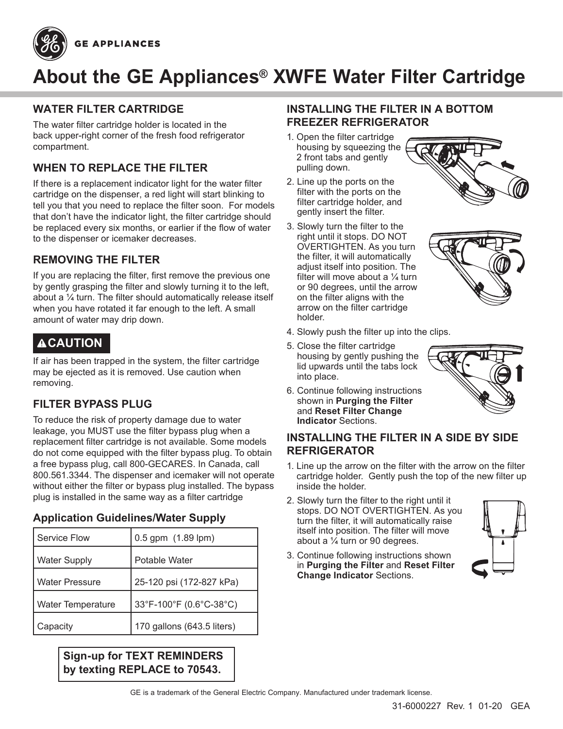



# **About the GE Appliances® XWFE Water Filter Cartridge**

## **WATER FILTER CARTRIDGE**

The water filter cartridge holder is located in the back upper-right corner of the fresh food refrigerator compartment.

# **WHEN TO REPLACE THE FILTER**

If there is a replacement indicator light for the water filter cartridge on the dispenser, a red light will start blinking to tell you that you need to replace the filter soon. For models that don't have the indicator light, the filter cartridge should be replaced every six months, or earlier if the flow of water to the dispenser or icemaker decreases.

# **REMOVING THE FILTER**

If you are replacing the filter, first remove the previous one by gently grasping the filter and slowly turning it to the left, about a ¼ turn. The filter should automatically release itself when you have rotated it far enough to the left. A small amount of water may drip down.

# **ACAUTION**

If air has been trapped in the system, the filter cartridge may be ejected as it is removed. Use caution when removing.

# **FILTER BYPASS PLUG**

To reduce the risk of property damage due to water leakage, you MUST use the filter bypass plug when a replacement filter cartridge is not available. Some models do not come equipped with the filter bypass plug. To obtain a free bypass plug, call 800-GECARES. In Canada, call 800.561.3344. The dispenser and icemaker will not operate without either the filter or bypass plug installed. The bypass plug is installed in the same way as a filter cartridge

# **Application Guidelines/Water Supply**

| Service Flow             | 0.5 gpm (1.89 lpm)         |
|--------------------------|----------------------------|
| <b>Water Supply</b>      | Potable Water              |
| <b>Water Pressure</b>    | 25-120 psi (172-827 kPa)   |
| <b>Water Temperature</b> | 33°F-100°F (0.6°C-38°C)    |
| Capacity                 | 170 gallons (643.5 liters) |

**Sign-up for TEXT REMINDERS by texting REPLACE to 70543.**

### **INSTALLING THE FILTER IN A BOTTOM FREEZER REFRIGERATOR**

- 1. Open the filter cartridge housing by squeezing the 2 front tabs and gently pulling down.
- 2. Line up the ports on the filter with the ports on the filter cartridge holder, and gently insert the filter.
- 3. Slowly turn the filter to the right until it stops. DO NOT OVERTIGHTEN. As you turn the filter, it will automatically adjust itself into position. The filter will move about a  $\frac{1}{4}$  turn or 90 degrees, until the arrow on the filter aligns with the arrow on the filter cartridge holder.



- 4. Slowly push the filter up into the clips.
- 5. Close the filter cartridge housing by gently pushing the lid upwards until the tabs lock into place.
- 6. Continue following instructions shown in **Purging the Filter** and **Reset Filter Change Indicator** Sections.



#### **INSTALLING THE FILTER IN A SIDE BY SIDE REFRIGERATOR**

- 1. Line up the arrow on the filter with the arrow on the filter cartridge holder. Gently push the top of the new filter up inside the holder.
- 2. Slowly turn the filter to the right until it stops. DO NOT OVERTIGHTEN. As you turn the filter, it will automatically raise itself into position. The filter will move about a  $\frac{1}{4}$  turn or 90 degrees.



3. Continue following instructions shown in **Purging the Filter** and **Reset Filter Change Indicator** Sections.

GE is a trademark of the General Electric Company. Manufactured under trademark license.